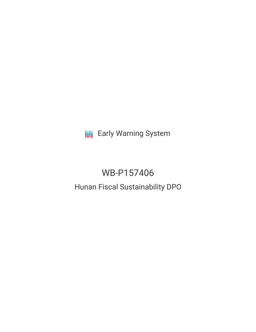**III** Early Warning System

# WB-P157406

# Hunan Fiscal Sustainability DPO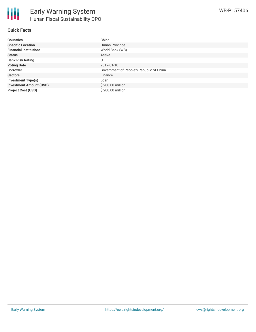### **Quick Facts**

| <b>Countries</b>               | China                                    |
|--------------------------------|------------------------------------------|
| <b>Specific Location</b>       | <b>Hunan Province</b>                    |
| <b>Financial Institutions</b>  | World Bank (WB)                          |
| <b>Status</b>                  | Active                                   |
| <b>Bank Risk Rating</b>        |                                          |
| <b>Voting Date</b>             | 2017-01-10                               |
| <b>Borrower</b>                | Government of People's Republic of China |
| <b>Sectors</b>                 | Finance                                  |
| <b>Investment Type(s)</b>      | Loan                                     |
| <b>Investment Amount (USD)</b> | \$200.00 million                         |
| <b>Project Cost (USD)</b>      | \$200.00 million                         |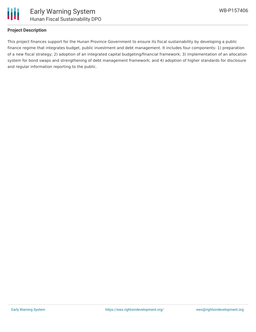

## **Project Description**

This project finances support for the Hunan Province Government to ensure its fiscal sustainability by developing a public finance regime that integrates budget, public investment and debt management. It includes four components: 1) preparation of a new fiscal strategy; 2) adoption of an integrated capital budgeting/financial framework; 3) implementation of an allocation system for bond swaps and strengthening of debt management framework; and 4) adoption of higher standards for disclosure and regular information reporting to the public.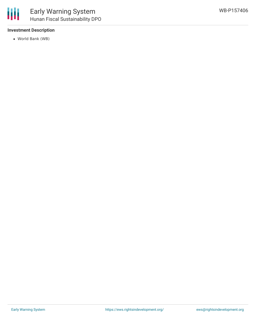#### **Investment Description**

World Bank (WB)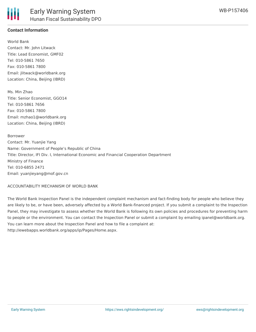### **Contact Information**

World Bank Contact: Mr. John Litwack Title: Lead Economist, GMF02 Tel: 010-5861 7650 Fax: 010-5861 7800 Email: jlitwack@worldbank.org Location: China, Beijing (IBRD)

Ms. Min Zhao Title: Senior Economist, GGO14 Tel: 010-5861 7656 Fax: 010-5861 7800 Email: mzhao1@worldbank.org Location: China, Beijing (IBRD)

Borrower Contact: Mr. Yuanjie Yang Name: Government of People's Republic of China Title: Director, IFI Div. I, International Economic and Financial Cooperation Department Ministry of Finance Tel: 010-6855 2471 Email: yuanjieyang@mof.gov.cn

#### ACCOUNTABILITY MECHANISM OF WORLD BANK

The World Bank Inspection Panel is the independent complaint mechanism and fact-finding body for people who believe they are likely to be, or have been, adversely affected by a World Bank-financed project. If you submit a complaint to the Inspection Panel, they may investigate to assess whether the World Bank is following its own policies and procedures for preventing harm to people or the environment. You can contact the Inspection Panel or submit a complaint by emailing ipanel@worldbank.org. You can learn more about the Inspection Panel and how to file a complaint at: http://ewebapps.worldbank.org/apps/ip/Pages/Home.aspx.